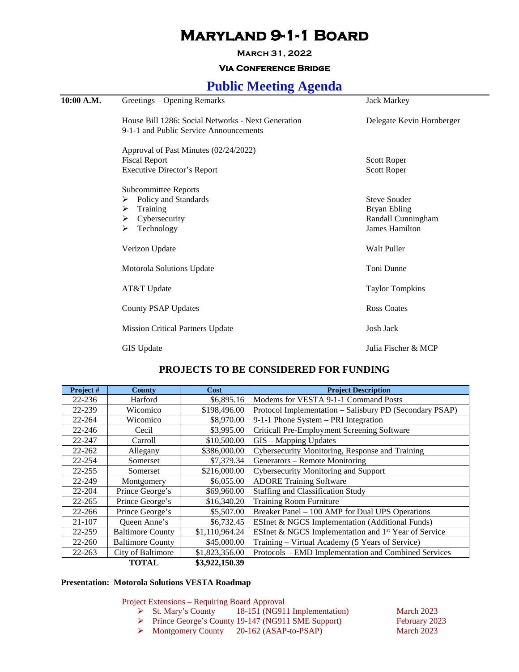# **Maryland 9-1-1 Board**

**March 31, 2022**

## **Via Conference Bridge**

## **Public Meeting Agenda**

| 10:00 A.M. | Greetings – Opening Remarks                                                                                 | <b>Jack Markey</b>                                                                 |  |
|------------|-------------------------------------------------------------------------------------------------------------|------------------------------------------------------------------------------------|--|
|            | House Bill 1286: Social Networks - Next Generation<br>9-1-1 and Public Service Announcements                | Delegate Kevin Hornberger                                                          |  |
|            | Approval of Past Minutes (02/24/2022)<br><b>Fiscal Report</b><br><b>Executive Director's Report</b>         | <b>Scott Roper</b><br><b>Scott Roper</b>                                           |  |
|            | Subcommittee Reports<br>Policy and Standards<br>➤<br>Training<br>➤<br>Cybersecurity<br>➤<br>Technology<br>≻ | <b>Steve Souder</b><br><b>Bryan Ebling</b><br>Randall Cunningham<br>James Hamilton |  |
|            | Verizon Update                                                                                              | <b>Walt Puller</b>                                                                 |  |
|            | Motorola Solutions Update                                                                                   | Toni Dunne                                                                         |  |
|            | AT&T Update                                                                                                 | <b>Taylor Tompkins</b>                                                             |  |
|            | <b>County PSAP Updates</b>                                                                                  | <b>Ross Coates</b>                                                                 |  |
|            | <b>Mission Critical Partners Update</b>                                                                     | <b>Josh Jack</b>                                                                   |  |
|            | <b>GIS</b> Update                                                                                           | Julia Fischer & MCP                                                                |  |
|            |                                                                                                             |                                                                                    |  |

## **PROJECTS TO BE CONSIDERED FOR FUNDING**

| Project#   | <b>County</b>           | Cost           | <b>Project Description</b>                                       |  |
|------------|-------------------------|----------------|------------------------------------------------------------------|--|
| $22 - 236$ | Harford                 | \$6,895.16     | Modems for VESTA 9-1-1 Command Posts                             |  |
| 22-239     | Wicomico                | \$198,496.00   | Protocol Implementation – Salisbury PD (Secondary PSAP)          |  |
| 22-264     | Wicomico                | \$8,970.00     | 9-1-1 Phone System - PRI Integration                             |  |
| 22-246     | Cecil                   | \$3,995.00     | Criticall Pre-Employment Screening Software                      |  |
| 22-247     | Carroll                 | \$10,500.00    | GIS - Mapping Updates                                            |  |
| 22-262     | Allegany                | \$386,000.00   | Cybersecurity Monitoring, Response and Training                  |  |
| 22-254     | Somerset                | \$7,379.34     | Generators – Remote Monitoring                                   |  |
| 22-255     | Somerset                | \$216,000.00   | Cybersecurity Monitoring and Support                             |  |
| 22-249     | Montgomery              | \$6,055.00     | <b>ADORE Training Software</b>                                   |  |
| 22-204     | Prince George's         | \$69,960.00    | <b>Staffing and Classification Study</b>                         |  |
| $22 - 265$ | Prince George's         | \$16,340.20    | <b>Training Room Furniture</b>                                   |  |
| 22-266     | Prince George's         | \$5,507.00     | Breaker Panel - 100 AMP for Dual UPS Operations                  |  |
| 21-107     | Queen Anne's            | \$6,732.45     | ESInet & NGCS Implementation (Additional Funds)                  |  |
| 22-259     | <b>Baltimore County</b> | \$1,110,964.24 | ESInet & NGCS Implementation and 1 <sup>st</sup> Year of Service |  |
| 22-260     | <b>Baltimore County</b> | \$45,000.00    | Training – Virtual Academy (5 Years of Service)                  |  |
| 22-263     | City of Baltimore       | \$1,823,356.00 | Protocols – EMD Implementation and Combined Services             |  |
|            | <b>TOTAL</b>            | \$3,922,150.39 |                                                                  |  |

### **Presentation: Motorola Solutions VESTA Roadmap**

Project Extensions – Requiring Board Approval

- St. Mary's County 18-151 (NG911 Implementation) March 2023<br>
Prince George's County 19-147 (NG911 SME Support) February 2023
	- Prince George's County 19-147 (NG911 SME Support)
	- > Montgomery County 20-162 (ASAP-to-PSAP) March 2023
-